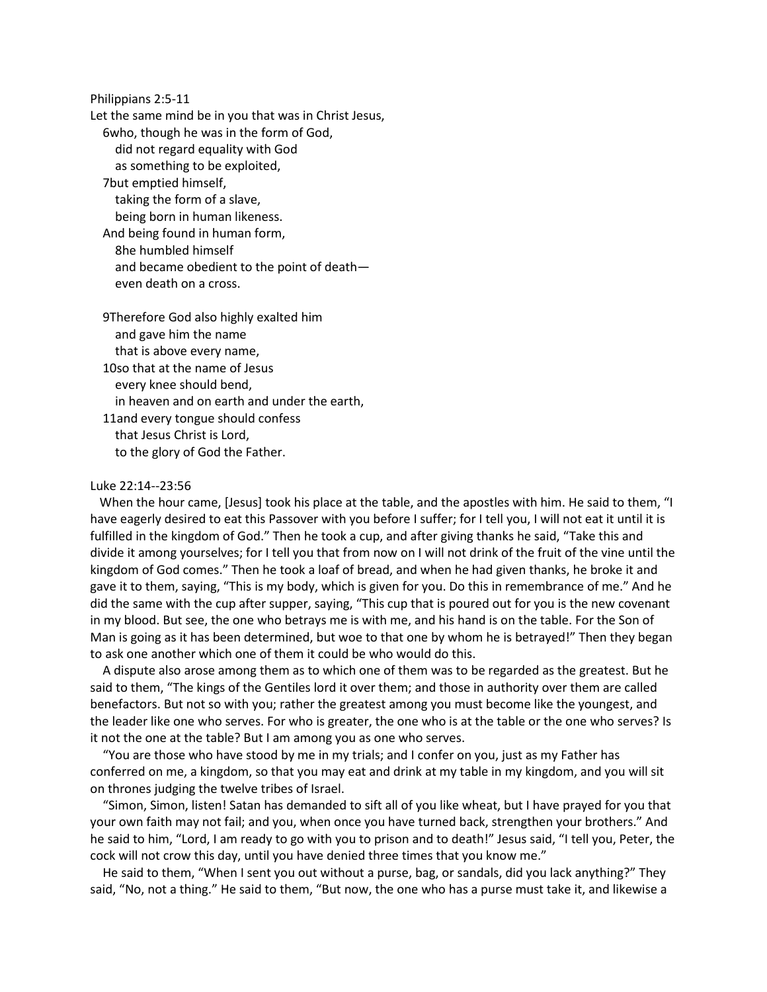## Philippians 2:5-11

Let the same mind be in you that was in Christ Jesus, 6who, though he was in the form of God, did not regard equality with God as something to be exploited, 7but emptied himself, taking the form of a slave, being born in human likeness. And being found in human form, 8he humbled himself and became obedient to the point of death even death on a cross. 9Therefore God also highly exalted him

 and gave him the name that is above every name, 10so that at the name of Jesus every knee should bend, in heaven and on earth and under the earth, 11and every tongue should confess

 that Jesus Christ is Lord, to the glory of God the Father.

## Luke 22:14--23:56

 When the hour came, [Jesus] took his place at the table, and the apostles with him. He said to them, "I have eagerly desired to eat this Passover with you before I suffer; for I tell you, I will not eat it until it is fulfilled in the kingdom of God." Then he took a cup, and after giving thanks he said, "Take this and divide it among yourselves; for I tell you that from now on I will not drink of the fruit of the vine until the kingdom of God comes." Then he took a loaf of bread, and when he had given thanks, he broke it and gave it to them, saying, "This is my body, which is given for you. Do this in remembrance of me." And he did the same with the cup after supper, saying, "This cup that is poured out for you is the new covenant in my blood. But see, the one who betrays me is with me, and his hand is on the table. For the Son of Man is going as it has been determined, but woe to that one by whom he is betrayed!" Then they began to ask one another which one of them it could be who would do this.

A dispute also arose among them as to which one of them was to be regarded as the greatest. But he said to them, "The kings of the Gentiles lord it over them; and those in authority over them are called benefactors. But not so with you; rather the greatest among you must become like the youngest, and the leader like one who serves. For who is greater, the one who is at the table or the one who serves? Is it not the one at the table? But I am among you as one who serves.

"You are those who have stood by me in my trials; and I confer on you, just as my Father has conferred on me, a kingdom, so that you may eat and drink at my table in my kingdom, and you will sit on thrones judging the twelve tribes of Israel.

"Simon, Simon, listen! Satan has demanded to sift all of you like wheat, but I have prayed for you that your own faith may not fail; and you, when once you have turned back, strengthen your brothers." And he said to him, "Lord, I am ready to go with you to prison and to death!" Jesus said, "I tell you, Peter, the cock will not crow this day, until you have denied three times that you know me."

He said to them, "When I sent you out without a purse, bag, or sandals, did you lack anything?" They said, "No, not a thing." He said to them, "But now, the one who has a purse must take it, and likewise a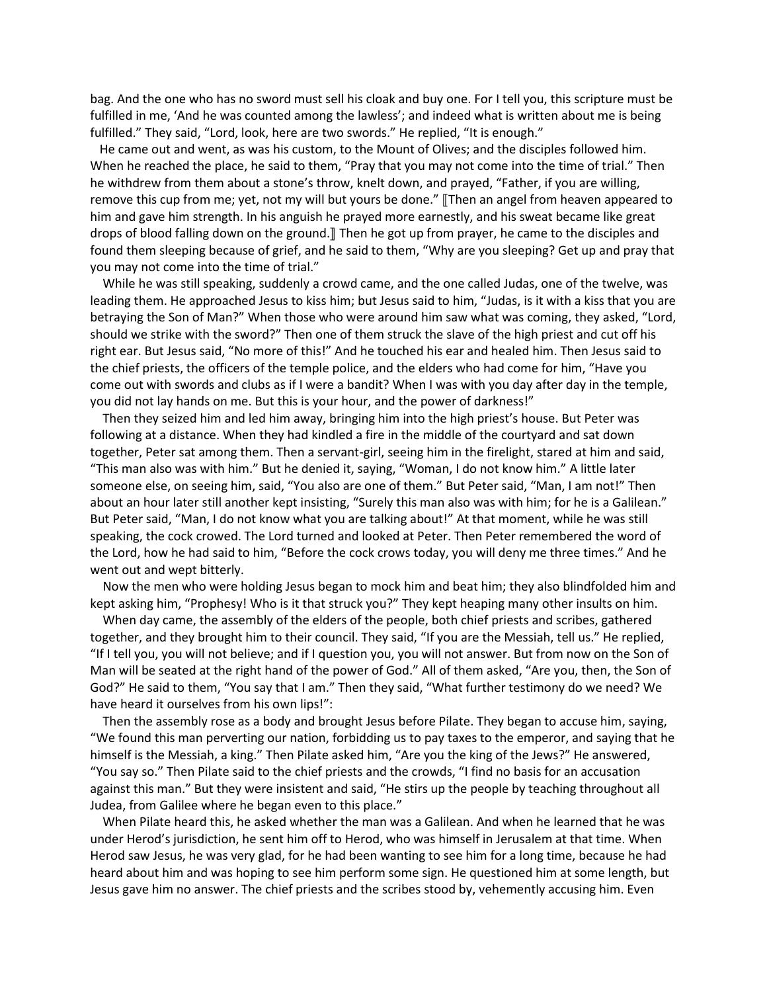bag. And the one who has no sword must sell his cloak and buy one. For I tell you, this scripture must be fulfilled in me, 'And he was counted among the lawless'; and indeed what is written about me is being fulfilled." They said, "Lord, look, here are two swords." He replied, "It is enough."

 He came out and went, as was his custom, to the Mount of Olives; and the disciples followed him. When he reached the place, he said to them, "Pray that you may not come into the time of trial." Then he withdrew from them about a stone's throw, knelt down, and prayed, "Father, if you are willing, remove this cup from me; yet, not my will but yours be done." [Then an angel from heaven appeared to him and gave him strength. In his anguish he prayed more earnestly, and his sweat became like great drops of blood falling down on the ground.<sup>||</sup> Then he got up from prayer, he came to the disciples and found them sleeping because of grief, and he said to them, "Why are you sleeping? Get up and pray that you may not come into the time of trial."

While he was still speaking, suddenly a crowd came, and the one called Judas, one of the twelve, was leading them. He approached Jesus to kiss him; but Jesus said to him, "Judas, is it with a kiss that you are betraying the Son of Man?" When those who were around him saw what was coming, they asked, "Lord, should we strike with the sword?" Then one of them struck the slave of the high priest and cut off his right ear. But Jesus said, "No more of this!" And he touched his ear and healed him. Then Jesus said to the chief priests, the officers of the temple police, and the elders who had come for him, "Have you come out with swords and clubs as if I were a bandit? When I was with you day after day in the temple, you did not lay hands on me. But this is your hour, and the power of darkness!"

Then they seized him and led him away, bringing him into the high priest's house. But Peter was following at a distance. When they had kindled a fire in the middle of the courtyard and sat down together, Peter sat among them. Then a servant-girl, seeing him in the firelight, stared at him and said, "This man also was with him." But he denied it, saying, "Woman, I do not know him." A little later someone else, on seeing him, said, "You also are one of them." But Peter said, "Man, I am not!" Then about an hour later still another kept insisting, "Surely this man also was with him; for he is a Galilean." But Peter said, "Man, I do not know what you are talking about!" At that moment, while he was still speaking, the cock crowed. The Lord turned and looked at Peter. Then Peter remembered the word of the Lord, how he had said to him, "Before the cock crows today, you will deny me three times." And he went out and wept bitterly.

Now the men who were holding Jesus began to mock him and beat him; they also blindfolded him and kept asking him, "Prophesy! Who is it that struck you?" They kept heaping many other insults on him.

When day came, the assembly of the elders of the people, both chief priests and scribes, gathered together, and they brought him to their council. They said, "If you are the Messiah, tell us." He replied, "If I tell you, you will not believe; and if I question you, you will not answer. But from now on the Son of Man will be seated at the right hand of the power of God." All of them asked, "Are you, then, the Son of God?" He said to them, "You say that I am." Then they said, "What further testimony do we need? We have heard it ourselves from his own lips!":

Then the assembly rose as a body and brought Jesus before Pilate. They began to accuse him, saying, "We found this man perverting our nation, forbidding us to pay taxes to the emperor, and saying that he himself is the Messiah, a king." Then Pilate asked him, "Are you the king of the Jews?" He answered, "You say so." Then Pilate said to the chief priests and the crowds, "I find no basis for an accusation against this man." But they were insistent and said, "He stirs up the people by teaching throughout all Judea, from Galilee where he began even to this place."

When Pilate heard this, he asked whether the man was a Galilean. And when he learned that he was under Herod's jurisdiction, he sent him off to Herod, who was himself in Jerusalem at that time. When Herod saw Jesus, he was very glad, for he had been wanting to see him for a long time, because he had heard about him and was hoping to see him perform some sign. He questioned him at some length, but Jesus gave him no answer. The chief priests and the scribes stood by, vehemently accusing him. Even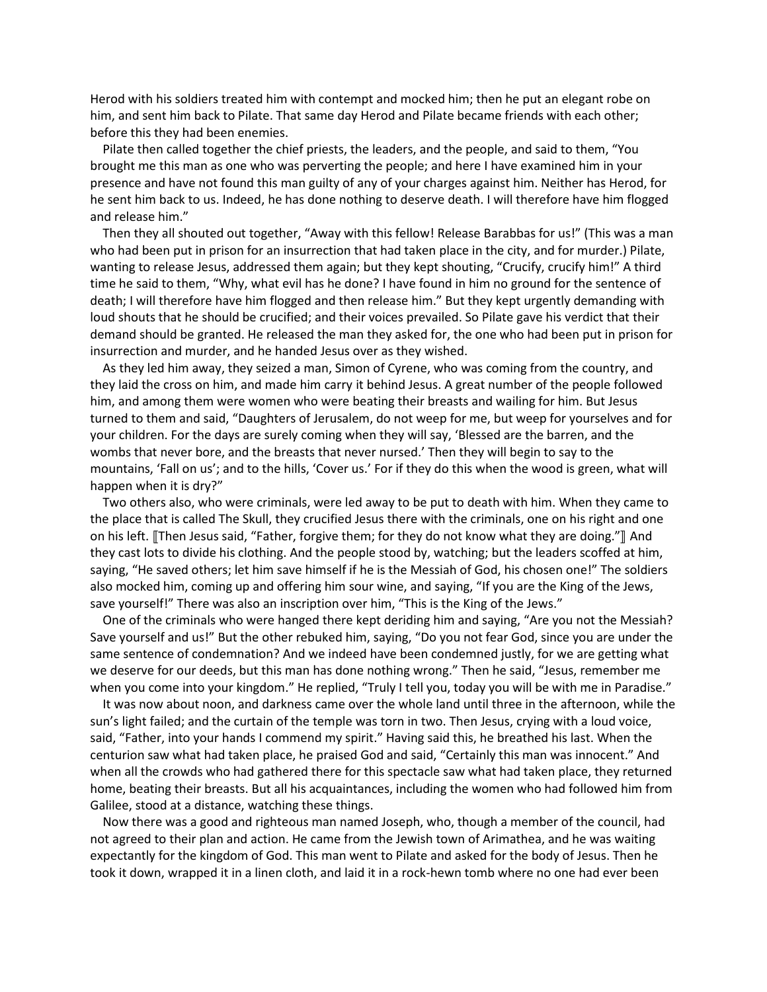Herod with his soldiers treated him with contempt and mocked him; then he put an elegant robe on him, and sent him back to Pilate. That same day Herod and Pilate became friends with each other; before this they had been enemies.

Pilate then called together the chief priests, the leaders, and the people, and said to them, "You brought me this man as one who was perverting the people; and here I have examined him in your presence and have not found this man guilty of any of your charges against him. Neither has Herod, for he sent him back to us. Indeed, he has done nothing to deserve death. I will therefore have him flogged and release him."

Then they all shouted out together, "Away with this fellow! Release Barabbas for us!" (This was a man who had been put in prison for an insurrection that had taken place in the city, and for murder.) Pilate, wanting to release Jesus, addressed them again; but they kept shouting, "Crucify, crucify him!" A third time he said to them, "Why, what evil has he done? I have found in him no ground for the sentence of death; I will therefore have him flogged and then release him." But they kept urgently demanding with loud shouts that he should be crucified; and their voices prevailed. So Pilate gave his verdict that their demand should be granted. He released the man they asked for, the one who had been put in prison for insurrection and murder, and he handed Jesus over as they wished.

As they led him away, they seized a man, Simon of Cyrene, who was coming from the country, and they laid the cross on him, and made him carry it behind Jesus. A great number of the people followed him, and among them were women who were beating their breasts and wailing for him. But Jesus turned to them and said, "Daughters of Jerusalem, do not weep for me, but weep for yourselves and for your children. For the days are surely coming when they will say, 'Blessed are the barren, and the wombs that never bore, and the breasts that never nursed.' Then they will begin to say to the mountains, 'Fall on us'; and to the hills, 'Cover us.' For if they do this when the wood is green, what will happen when it is dry?"

Two others also, who were criminals, were led away to be put to death with him. When they came to the place that is called The Skull, they crucified Jesus there with the criminals, one on his right and one on his left. [Then Jesus said, "Father, forgive them; for they do not know what they are doing."] And they cast lots to divide his clothing. And the people stood by, watching; but the leaders scoffed at him, saying, "He saved others; let him save himself if he is the Messiah of God, his chosen one!" The soldiers also mocked him, coming up and offering him sour wine, and saying, "If you are the King of the Jews, save yourself!" There was also an inscription over him, "This is the King of the Jews."

One of the criminals who were hanged there kept deriding him and saying, "Are you not the Messiah? Save yourself and us!" But the other rebuked him, saying, "Do you not fear God, since you are under the same sentence of condemnation? And we indeed have been condemned justly, for we are getting what we deserve for our deeds, but this man has done nothing wrong." Then he said, "Jesus, remember me when you come into your kingdom." He replied, "Truly I tell you, today you will be with me in Paradise."

It was now about noon, and darkness came over the whole land until three in the afternoon, while the sun's light failed; and the curtain of the temple was torn in two. Then Jesus, crying with a loud voice, said, "Father, into your hands I commend my spirit." Having said this, he breathed his last. When the centurion saw what had taken place, he praised God and said, "Certainly this man was innocent." And when all the crowds who had gathered there for this spectacle saw what had taken place, they returned home, beating their breasts. But all his acquaintances, including the women who had followed him from Galilee, stood at a distance, watching these things.

Now there was a good and righteous man named Joseph, who, though a member of the council, had not agreed to their plan and action. He came from the Jewish town of Arimathea, and he was waiting expectantly for the kingdom of God. This man went to Pilate and asked for the body of Jesus. Then he took it down, wrapped it in a linen cloth, and laid it in a rock-hewn tomb where no one had ever been